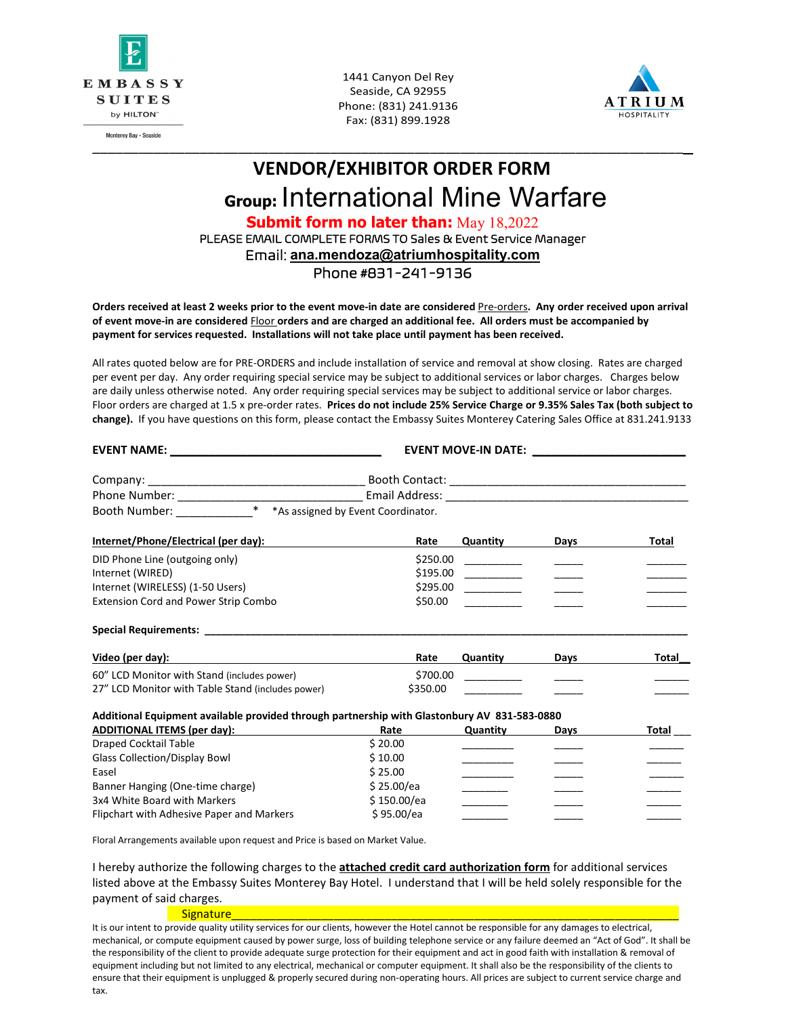

Monterey Bay - Seaside

1441 Canyon Del Rey Seaside, CA 92955 Phone: (831) 241.9136 Fax: (831) 899.1928

\_\_\_\_\_\_\_\_\_\_\_\_\_\_\_\_\_\_\_\_\_\_\_\_\_\_\_\_\_\_\_\_\_\_\_\_\_\_\_\_\_\_\_\_\_\_\_\_\_\_\_\_\_\_\_\_\_\_\_\_\_\_\_\_\_\_\_\_\_\_\_\_\_\_\_\_\_



# **VENDOR/EXHIBITOR ORDER FORM Group:** International Mine Warfare **Submit form no later than:** May 18,2022 PLEASE EMAIL COMPLETE FORMS TO Sales & Event Service Manager

Email: **ana.mendoza@atriumhospitality.com**

Phone #831-241-9136

**Orders received at least 2 weeks prior to the event move-in date are considered** Pre-orders**. Any order received upon arrival of event move-in are considered** Floor **orders and are charged an additional fee. All orders must be accompanied by payment for services requested. Installations will not take place until payment has been received.**

All rates quoted below are for PRE-ORDERS and include installation of service and removal at show closing. Rates are charged per event per day. Any order requiring special service may be subject to additional services or labor charges. Charges below are daily unless otherwise noted. Any order requiring special services may be subject to additional service or labor charges. Floor orders are charged at 1.5 x pre-order rates. **Prices do not include 25% Service Charge or 9.35% Sales Tax (both subject to change).** If you have questions on this form, please contact the Embassy Suites Monterey Catering Sales Office at 831.241.9133

| EVENT NAME: NAME:                                                                                                                                                                                                              |             |                                                                                                                                                                                                                                                                                                                                                                                                                                                       | <b>EVENT MOVE-IN DATE:</b> NOTE: |       |
|--------------------------------------------------------------------------------------------------------------------------------------------------------------------------------------------------------------------------------|-------------|-------------------------------------------------------------------------------------------------------------------------------------------------------------------------------------------------------------------------------------------------------------------------------------------------------------------------------------------------------------------------------------------------------------------------------------------------------|----------------------------------|-------|
|                                                                                                                                                                                                                                |             |                                                                                                                                                                                                                                                                                                                                                                                                                                                       |                                  |       |
|                                                                                                                                                                                                                                |             |                                                                                                                                                                                                                                                                                                                                                                                                                                                       |                                  |       |
| Booth Number: * * As assigned by Event Coordinator.                                                                                                                                                                            |             |                                                                                                                                                                                                                                                                                                                                                                                                                                                       |                                  |       |
| Internet/Phone/Electrical (per day):                                                                                                                                                                                           | Rate        | Quantity                                                                                                                                                                                                                                                                                                                                                                                                                                              | Days                             | Total |
| DID Phone Line (outgoing only)                                                                                                                                                                                                 | \$250.00    |                                                                                                                                                                                                                                                                                                                                                                                                                                                       |                                  |       |
| Internet (WIRED)                                                                                                                                                                                                               | \$195.00    | $\begin{tabular}{ccccc} \multicolumn{2}{c }{\textbf{1} & \multicolumn{2}{c }{\textbf{2} & \multicolumn{2}{c }{\textbf{3} & \multicolumn{2}{c }{\textbf{4} & \multicolumn{2}{c }{\textbf{5} & \multicolumn{2}{c }{\textbf{6} & \multicolumn{2}{c }{\textbf{6} & \multicolumn{2}{c }{\textbf{6} & \multicolumn{2}{c }{\textbf{6} & \multicolumn{2}{c }{\textbf{6} & \multicolumn{2}{c }{\textbf{6} & \multicolumn{2}{c }{\textbf{6} & \multicolumn{2}{$ |                                  |       |
| Internet (WIRELESS) (1-50 Users)                                                                                                                                                                                               | \$295.00    |                                                                                                                                                                                                                                                                                                                                                                                                                                                       |                                  |       |
| <b>Extension Cord and Power Strip Combo</b>                                                                                                                                                                                    | \$50.00     |                                                                                                                                                                                                                                                                                                                                                                                                                                                       |                                  |       |
| Special Requirements: The contract of the contract of the contract of the contract of the contract of the contract of the contract of the contract of the contract of the contract of the contract of the contract of the cont |             |                                                                                                                                                                                                                                                                                                                                                                                                                                                       |                                  |       |
| Video (per day):                                                                                                                                                                                                               | Rate        | Quantity                                                                                                                                                                                                                                                                                                                                                                                                                                              | Days                             | Total |
| 60" LCD Monitor with Stand (includes power)                                                                                                                                                                                    | \$700.00    |                                                                                                                                                                                                                                                                                                                                                                                                                                                       |                                  |       |
| 27" LCD Monitor with Table Stand (includes power)                                                                                                                                                                              | \$350.00    |                                                                                                                                                                                                                                                                                                                                                                                                                                                       |                                  |       |
| Additional Equipment available provided through partnership with Glastonbury AV 831-583-0880                                                                                                                                   |             |                                                                                                                                                                                                                                                                                                                                                                                                                                                       |                                  |       |
| <b>ADDITIONAL ITEMS (per day):</b>                                                                                                                                                                                             | Rate        | Quantity                                                                                                                                                                                                                                                                                                                                                                                                                                              | Days                             | Total |
| <b>Draped Cocktail Table</b>                                                                                                                                                                                                   | \$20.00     |                                                                                                                                                                                                                                                                                                                                                                                                                                                       |                                  |       |
| <b>Glass Collection/Display Bowl</b>                                                                                                                                                                                           | \$10.00     |                                                                                                                                                                                                                                                                                                                                                                                                                                                       |                                  |       |
| Easel                                                                                                                                                                                                                          | \$25.00     |                                                                                                                                                                                                                                                                                                                                                                                                                                                       |                                  |       |
| Banner Hanging (One-time charge)                                                                                                                                                                                               | \$25.00/ea  |                                                                                                                                                                                                                                                                                                                                                                                                                                                       |                                  |       |
| 3x4 White Board with Markers                                                                                                                                                                                                   | \$150.00/ea |                                                                                                                                                                                                                                                                                                                                                                                                                                                       |                                  |       |
| Flipchart with Adhesive Paper and Markers                                                                                                                                                                                      | \$95.00/ea  |                                                                                                                                                                                                                                                                                                                                                                                                                                                       |                                  |       |
| Floral Arrangements available upon request and Price is based on Market Value.                                                                                                                                                 |             |                                                                                                                                                                                                                                                                                                                                                                                                                                                       |                                  |       |

I hereby authorize the following charges to the **attached credit card authorization form** for additional services listed above at the Embassy Suites Monterey Bay Hotel. I understand that I will be held solely responsible for the payment of said charges.

Signature\_\_\_\_\_\_\_\_\_\_\_\_\_\_\_\_\_\_\_\_\_\_\_\_\_\_\_\_\_\_\_\_\_\_\_\_\_\_\_\_\_\_\_\_\_\_\_\_\_\_\_\_\_\_\_\_\_\_\_\_\_\_\_\_\_\_\_\_\_\_

It is our intent to provide quality utility services for our clients, however the Hotel cannot be responsible for any damages to electrical, mechanical, or compute equipment caused by power surge, loss of building telephone service or any failure deemed an "Act of God". It shall be the responsibility of the client to provide adequate surge protection for their equipment and act in good faith with installation & removal of equipment including but not limited to any electrical, mechanical or computer equipment. It shall also be the responsibility of the clients to ensure that their equipment is unplugged & properly secured during non-operating hours. All prices are subject to current service charge and tax.